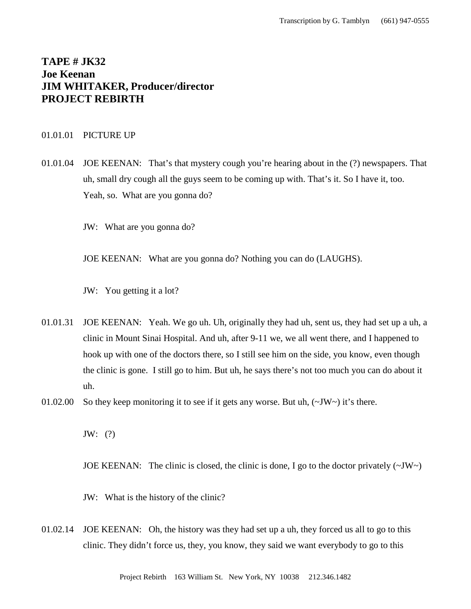# **TAPE # JK32 Joe Keenan JIM WHITAKER, Producer/director PROJECT REBIRTH**

## 01.01.01 PICTURE UP

- 01.01.04 JOE KEENAN: That's that mystery cough you're hearing about in the (?) newspapers. That uh, small dry cough all the guys seem to be coming up with. That's it. So I have it, too. Yeah, so. What are you gonna do?
	- JW: What are you gonna do?

JOE KEENAN: What are you gonna do? Nothing you can do (LAUGHS).

JW: You getting it a lot?

- 01.01.31 JOE KEENAN: Yeah. We go uh. Uh, originally they had uh, sent us, they had set up a uh, a clinic in Mount Sinai Hospital. And uh, after 9-11 we, we all went there, and I happened to hook up with one of the doctors there, so I still see him on the side, you know, even though the clinic is gone. I still go to him. But uh, he says there's not too much you can do about it uh.
- 01.02.00 So they keep monitoring it to see if it gets any worse. But uh,  $(\sim JW \sim)$  it's there.

JW: (?)

JOE KEENAN: The clinic is closed, the clinic is done, I go to the doctor privately  $(\sim JW)$ 

JW: What is the history of the clinic?

01.02.14 JOE KEENAN: Oh, the history was they had set up a uh, they forced us all to go to this clinic. They didn't force us, they, you know, they said we want everybody to go to this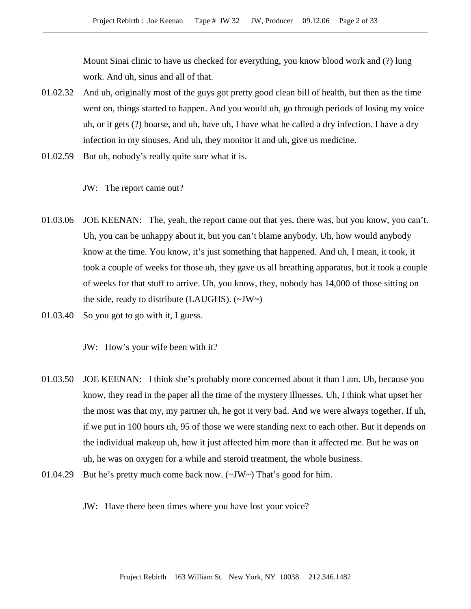Mount Sinai clinic to have us checked for everything, you know blood work and (?) lung work. And uh, sinus and all of that.

- 01.02.32 And uh, originally most of the guys got pretty good clean bill of health, but then as the time went on, things started to happen. And you would uh, go through periods of losing my voice uh, or it gets (?) hoarse, and uh, have uh, I have what he called a dry infection. I have a dry infection in my sinuses. And uh, they monitor it and uh, give us medicine.
- 01.02.59 But uh, nobody's really quite sure what it is.
	- JW: The report came out?
- 01.03.06 JOE KEENAN: The, yeah, the report came out that yes, there was, but you know, you can't. Uh, you can be unhappy about it, but you can't blame anybody. Uh, how would anybody know at the time. You know, it's just something that happened. And uh, I mean, it took, it took a couple of weeks for those uh, they gave us all breathing apparatus, but it took a couple of weeks for that stuff to arrive. Uh, you know, they, nobody has 14,000 of those sitting on the side, ready to distribute (LAUGHS).  $(\sim JW \sim)$
- 01.03.40 So you got to go with it, I guess.

JW: How's your wife been with it?

- 01.03.50 JOE KEENAN: I think she's probably more concerned about it than I am. Uh, because you know, they read in the paper all the time of the mystery illnesses. Uh, I think what upset her the most was that my, my partner uh, he got it very bad. And we were always together. If uh, if we put in 100 hours uh, 95 of those we were standing next to each other. But it depends on the individual makeup uh, how it just affected him more than it affected me. But he was on uh, he was on oxygen for a while and steroid treatment, the whole business.
- 01.04.29 But he's pretty much come back now. (~JW~) That's good for him.
	- JW: Have there been times where you have lost your voice?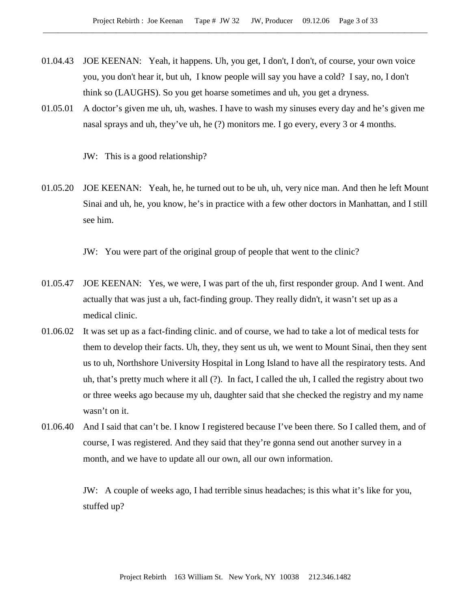- 01.04.43 JOE KEENAN: Yeah, it happens. Uh, you get, I don't, I don't, of course, your own voice you, you don't hear it, but uh, I know people will say you have a cold? I say, no, I don't think so (LAUGHS). So you get hoarse sometimes and uh, you get a dryness.
- 01.05.01 A doctor's given me uh, uh, washes. I have to wash my sinuses every day and he's given me nasal sprays and uh, they've uh, he (?) monitors me. I go every, every 3 or 4 months.

JW: This is a good relationship?

01.05.20 JOE KEENAN: Yeah, he, he turned out to be uh, uh, very nice man. And then he left Mount Sinai and uh, he, you know, he's in practice with a few other doctors in Manhattan, and I still see him.

JW: You were part of the original group of people that went to the clinic?

- 01.05.47 JOE KEENAN: Yes, we were, I was part of the uh, first responder group. And I went. And actually that was just a uh, fact-finding group. They really didn't, it wasn't set up as a medical clinic.
- 01.06.02 It was set up as a fact-finding clinic. and of course, we had to take a lot of medical tests for them to develop their facts. Uh, they, they sent us uh, we went to Mount Sinai, then they sent us to uh, Northshore University Hospital in Long Island to have all the respiratory tests. And uh, that's pretty much where it all (?). In fact, I called the uh, I called the registry about two or three weeks ago because my uh, daughter said that she checked the registry and my name wasn't on it.
- 01.06.40 And I said that can't be. I know I registered because I've been there. So I called them, and of course, I was registered. And they said that they're gonna send out another survey in a month, and we have to update all our own, all our own information.

JW: A couple of weeks ago, I had terrible sinus headaches; is this what it's like for you, stuffed up?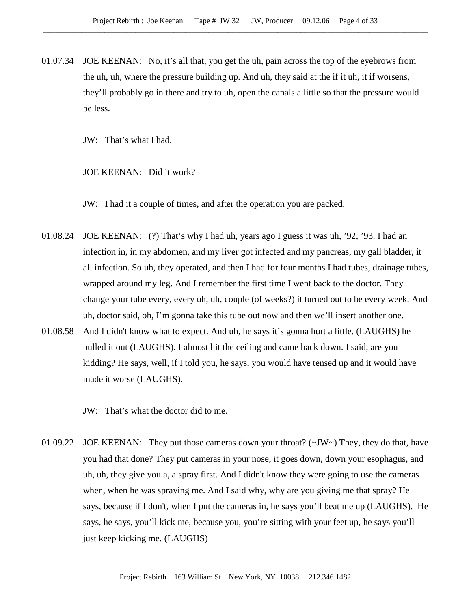01.07.34 JOE KEENAN: No, it's all that, you get the uh, pain across the top of the eyebrows from the uh, uh, where the pressure building up. And uh, they said at the if it uh, it if worsens, they'll probably go in there and try to uh, open the canals a little so that the pressure would be less.

JW: That's what I had.

JOE KEENAN: Did it work?

JW: I had it a couple of times, and after the operation you are packed.

- 01.08.24 JOE KEENAN: (?) That's why I had uh, years ago I guess it was uh, '92, '93. I had an infection in, in my abdomen, and my liver got infected and my pancreas, my gall bladder, it all infection. So uh, they operated, and then I had for four months I had tubes, drainage tubes, wrapped around my leg. And I remember the first time I went back to the doctor. They change your tube every, every uh, uh, couple (of weeks?) it turned out to be every week. And uh, doctor said, oh, I'm gonna take this tube out now and then we'll insert another one.
- 01.08.58 And I didn't know what to expect. And uh, he says it's gonna hurt a little. (LAUGHS) he pulled it out (LAUGHS). I almost hit the ceiling and came back down. I said, are you kidding? He says, well, if I told you, he says, you would have tensed up and it would have made it worse (LAUGHS).

JW: That's what the doctor did to me.

01.09.22 JOE KEENAN: They put those cameras down your throat? ( $\sim$ JW $\sim$ ) They, they do that, have you had that done? They put cameras in your nose, it goes down, down your esophagus, and uh, uh, they give you a, a spray first. And I didn't know they were going to use the cameras when, when he was spraying me. And I said why, why are you giving me that spray? He says, because if I don't, when I put the cameras in, he says you'll beat me up (LAUGHS). He says, he says, you'll kick me, because you, you're sitting with your feet up, he says you'll just keep kicking me. (LAUGHS)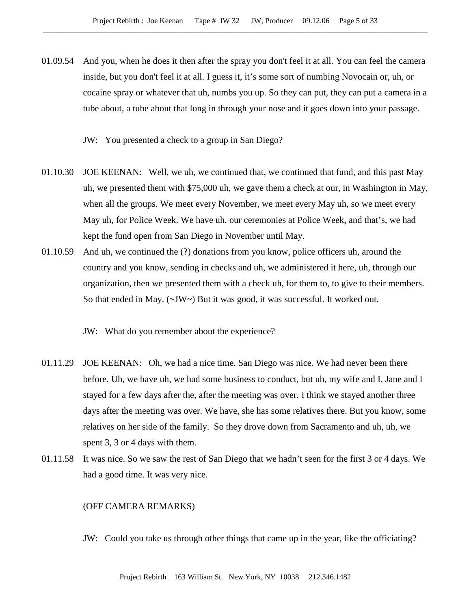- 01.09.54 And you, when he does it then after the spray you don't feel it at all. You can feel the camera inside, but you don't feel it at all. I guess it, it's some sort of numbing Novocain or, uh, or cocaine spray or whatever that uh, numbs you up. So they can put, they can put a camera in a tube about, a tube about that long in through your nose and it goes down into your passage.
	- JW: You presented a check to a group in San Diego?
- 01.10.30 JOE KEENAN: Well, we uh, we continued that, we continued that fund, and this past May uh, we presented them with \$75,000 uh, we gave them a check at our, in Washington in May, when all the groups. We meet every November, we meet every May uh, so we meet every May uh, for Police Week. We have uh, our ceremonies at Police Week, and that's, we had kept the fund open from San Diego in November until May.
- 01.10.59 And uh, we continued the (?) donations from you know, police officers uh, around the country and you know, sending in checks and uh, we administered it here, uh, through our organization, then we presented them with a check uh, for them to, to give to their members. So that ended in May.  $(\sim JW \sim)$  But it was good, it was successful. It worked out.

JW: What do you remember about the experience?

- 01.11.29 JOE KEENAN: Oh, we had a nice time. San Diego was nice. We had never been there before. Uh, we have uh, we had some business to conduct, but uh, my wife and I, Jane and I stayed for a few days after the, after the meeting was over. I think we stayed another three days after the meeting was over. We have, she has some relatives there. But you know, some relatives on her side of the family. So they drove down from Sacramento and uh, uh, we spent 3, 3 or 4 days with them.
- 01.11.58 It was nice. So we saw the rest of San Diego that we hadn't seen for the first 3 or 4 days. We had a good time. It was very nice.

#### (OFF CAMERA REMARKS)

JW: Could you take us through other things that came up in the year, like the officiating?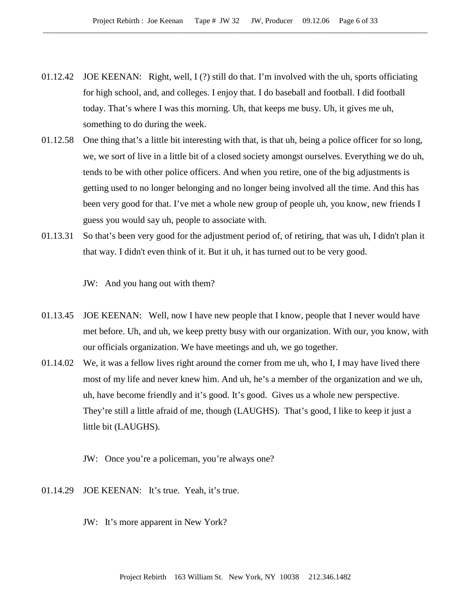- 01.12.42 JOE KEENAN: Right, well, I (?) still do that. I'm involved with the uh, sports officiating for high school, and, and colleges. I enjoy that. I do baseball and football. I did football today. That's where I was this morning. Uh, that keeps me busy. Uh, it gives me uh, something to do during the week.
- 01.12.58 One thing that's a little bit interesting with that, is that uh, being a police officer for so long, we, we sort of live in a little bit of a closed society amongst ourselves. Everything we do uh, tends to be with other police officers. And when you retire, one of the big adjustments is getting used to no longer belonging and no longer being involved all the time. And this has been very good for that. I've met a whole new group of people uh, you know, new friends I guess you would say uh, people to associate with.
- 01.13.31 So that's been very good for the adjustment period of, of retiring, that was uh, I didn't plan it that way. I didn't even think of it. But it uh, it has turned out to be very good.

JW: And you hang out with them?

- 01.13.45 JOE KEENAN: Well, now I have new people that I know, people that I never would have met before. Uh, and uh, we keep pretty busy with our organization. With our, you know, with our officials organization. We have meetings and uh, we go together.
- 01.14.02 We, it was a fellow lives right around the corner from me uh, who I, I may have lived there most of my life and never knew him. And uh, he's a member of the organization and we uh, uh, have become friendly and it's good. It's good. Gives us a whole new perspective. They're still a little afraid of me, though (LAUGHS). That's good, I like to keep it just a little bit (LAUGHS).
	- JW: Once you're a policeman, you're always one?
- 01.14.29 JOE KEENAN: It's true. Yeah, it's true.
	- JW: It's more apparent in New York?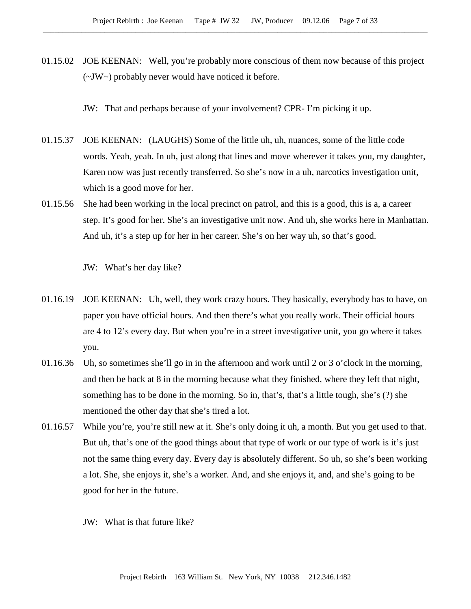01.15.02 JOE KEENAN: Well, you're probably more conscious of them now because of this project (~JW~) probably never would have noticed it before.

JW: That and perhaps because of your involvement? CPR- I'm picking it up.

- 01.15.37 JOE KEENAN: (LAUGHS) Some of the little uh, uh, nuances, some of the little code words. Yeah, yeah. In uh, just along that lines and move wherever it takes you, my daughter, Karen now was just recently transferred. So she's now in a uh, narcotics investigation unit, which is a good move for her.
- 01.15.56 She had been working in the local precinct on patrol, and this is a good, this is a, a career step. It's good for her. She's an investigative unit now. And uh, she works here in Manhattan. And uh, it's a step up for her in her career. She's on her way uh, so that's good.

JW: What's her day like?

- 01.16.19 JOE KEENAN: Uh, well, they work crazy hours. They basically, everybody has to have, on paper you have official hours. And then there's what you really work. Their official hours are 4 to 12's every day. But when you're in a street investigative unit, you go where it takes you.
- 01.16.36 Uh, so sometimes she'll go in in the afternoon and work until 2 or 3 o'clock in the morning, and then be back at 8 in the morning because what they finished, where they left that night, something has to be done in the morning. So in, that's, that's a little tough, she's (?) she mentioned the other day that she's tired a lot.
- 01.16.57 While you're, you're still new at it. She's only doing it uh, a month. But you get used to that. But uh, that's one of the good things about that type of work or our type of work is it's just not the same thing every day. Every day is absolutely different. So uh, so she's been working a lot. She, she enjoys it, she's a worker. And, and she enjoys it, and, and she's going to be good for her in the future.
	- JW: What is that future like?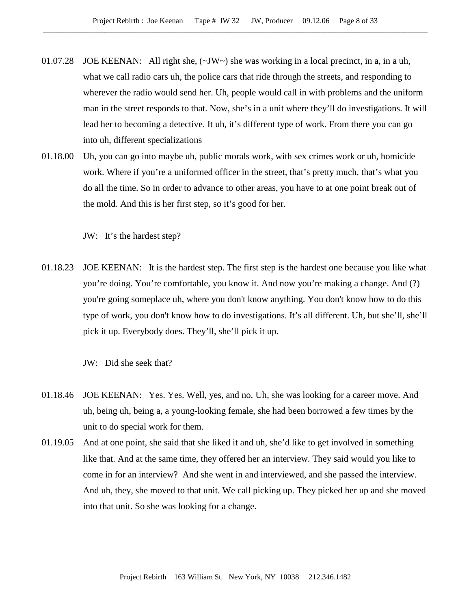- 01.07.28 JOE KEENAN: All right she, (~JW~) she was working in a local precinct, in a, in a uh, what we call radio cars uh, the police cars that ride through the streets, and responding to wherever the radio would send her. Uh, people would call in with problems and the uniform man in the street responds to that. Now, she's in a unit where they'll do investigations. It will lead her to becoming a detective. It uh, it's different type of work. From there you can go into uh, different specializations
- 01.18.00 Uh, you can go into maybe uh, public morals work, with sex crimes work or uh, homicide work. Where if you're a uniformed officer in the street, that's pretty much, that's what you do all the time. So in order to advance to other areas, you have to at one point break out of the mold. And this is her first step, so it's good for her.

JW: It's the hardest step?

01.18.23 JOE KEENAN: It is the hardest step. The first step is the hardest one because you like what you're doing. You're comfortable, you know it. And now you're making a change. And (?) you're going someplace uh, where you don't know anything. You don't know how to do this type of work, you don't know how to do investigations. It's all different. Uh, but she'll, she'll pick it up. Everybody does. They'll, she'll pick it up.

JW: Did she seek that?

- 01.18.46 JOE KEENAN: Yes. Yes. Well, yes, and no. Uh, she was looking for a career move. And uh, being uh, being a, a young-looking female, she had been borrowed a few times by the unit to do special work for them.
- 01.19.05 And at one point, she said that she liked it and uh, she'd like to get involved in something like that. And at the same time, they offered her an interview. They said would you like to come in for an interview? And she went in and interviewed, and she passed the interview. And uh, they, she moved to that unit. We call picking up. They picked her up and she moved into that unit. So she was looking for a change.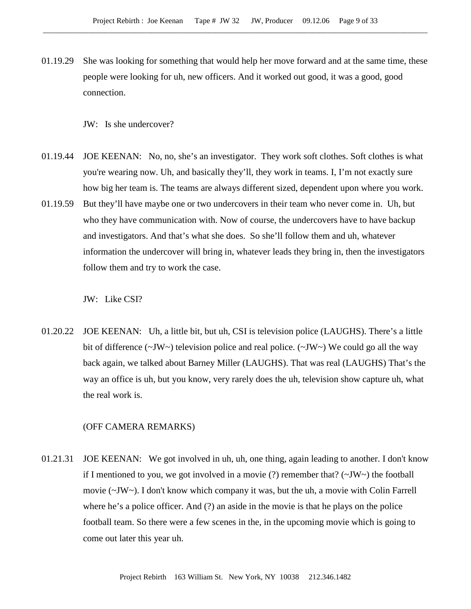01.19.29 She was looking for something that would help her move forward and at the same time, these people were looking for uh, new officers. And it worked out good, it was a good, good connection.

JW: Is she undercover?

- 01.19.44 JOE KEENAN: No, no, she's an investigator. They work soft clothes. Soft clothes is what you're wearing now. Uh, and basically they'll, they work in teams. I, I'm not exactly sure how big her team is. The teams are always different sized, dependent upon where you work.
- 01.19.59 But they'll have maybe one or two undercovers in their team who never come in. Uh, but who they have communication with. Now of course, the undercovers have to have backup and investigators. And that's what she does. So she'll follow them and uh, whatever information the undercover will bring in, whatever leads they bring in, then the investigators follow them and try to work the case.

JW: Like CSI?

01.20.22 JOE KEENAN: Uh, a little bit, but uh, CSI is television police (LAUGHS). There's a little bit of difference ( $\sim$ JW $\sim$ ) television police and real police. ( $\sim$ JW $\sim$ ) We could go all the way back again, we talked about Barney Miller (LAUGHS). That was real (LAUGHS) That's the way an office is uh, but you know, very rarely does the uh, television show capture uh, what the real work is.

# (OFF CAMERA REMARKS)

01.21.31 JOE KEENAN: We got involved in uh, uh, one thing, again leading to another. I don't know if I mentioned to you, we got involved in a movie (?) remember that? ( $\sim$ JW $\sim$ ) the football movie (~JW~). I don't know which company it was, but the uh, a movie with Colin Farrell where he's a police officer. And (?) an aside in the movie is that he plays on the police football team. So there were a few scenes in the, in the upcoming movie which is going to come out later this year uh.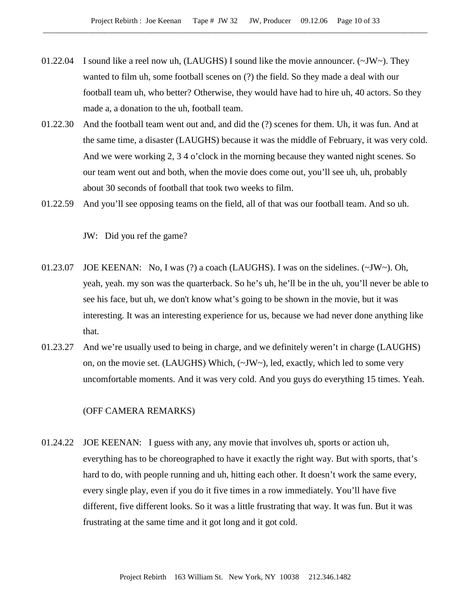- 01.22.04 I sound like a reel now uh, (LAUGHS) I sound like the movie announcer.  $(\sim JW)$ . They wanted to film uh, some football scenes on (?) the field. So they made a deal with our football team uh, who better? Otherwise, they would have had to hire uh, 40 actors. So they made a, a donation to the uh, football team.
- 01.22.30 And the football team went out and, and did the (?) scenes for them. Uh, it was fun. And at the same time, a disaster (LAUGHS) because it was the middle of February, it was very cold. And we were working 2, 3 4 o'clock in the morning because they wanted night scenes. So our team went out and both, when the movie does come out, you'll see uh, uh, probably about 30 seconds of football that took two weeks to film.
- 01.22.59 And you'll see opposing teams on the field, all of that was our football team. And so uh.

JW: Did you ref the game?

- 01.23.07 JOE KEENAN: No, I was (?) a coach (LAUGHS). I was on the sidelines.  $(\sim JW \sim)$ . Oh, yeah, yeah. my son was the quarterback. So he's uh, he'll be in the uh, you'll never be able to see his face, but uh, we don't know what's going to be shown in the movie, but it was interesting. It was an interesting experience for us, because we had never done anything like that.
- 01.23.27 And we're usually used to being in charge, and we definitely weren't in charge (LAUGHS) on, on the movie set. (LAUGHS) Which, (~JW~), led, exactly, which led to some very uncomfortable moments. And it was very cold. And you guys do everything 15 times. Yeah.

## (OFF CAMERA REMARKS)

01.24.22 JOE KEENAN: I guess with any, any movie that involves uh, sports or action uh, everything has to be choreographed to have it exactly the right way. But with sports, that's hard to do, with people running and uh, hitting each other. It doesn't work the same every, every single play, even if you do it five times in a row immediately. You'll have five different, five different looks. So it was a little frustrating that way. It was fun. But it was frustrating at the same time and it got long and it got cold.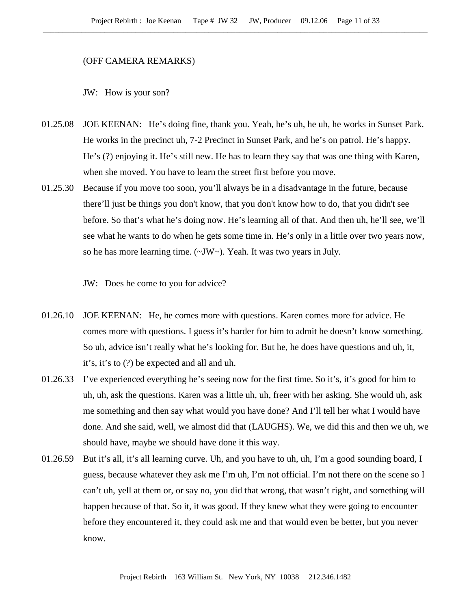#### (OFF CAMERA REMARKS)

JW: How is your son?

- 01.25.08 JOE KEENAN: He's doing fine, thank you. Yeah, he's uh, he uh, he works in Sunset Park. He works in the precinct uh, 7-2 Precinct in Sunset Park, and he's on patrol. He's happy. He's (?) enjoying it. He's still new. He has to learn they say that was one thing with Karen, when she moved. You have to learn the street first before you move.
- 01.25.30 Because if you move too soon, you'll always be in a disadvantage in the future, because there'll just be things you don't know, that you don't know how to do, that you didn't see before. So that's what he's doing now. He's learning all of that. And then uh, he'll see, we'll see what he wants to do when he gets some time in. He's only in a little over two years now, so he has more learning time. (~JW~). Yeah. It was two years in July.

JW: Does he come to you for advice?

- 01.26.10 JOE KEENAN: He, he comes more with questions. Karen comes more for advice. He comes more with questions. I guess it's harder for him to admit he doesn't know something. So uh, advice isn't really what he's looking for. But he, he does have questions and uh, it, it's, it's to (?) be expected and all and uh.
- 01.26.33 I've experienced everything he's seeing now for the first time. So it's, it's good for him to uh, uh, ask the questions. Karen was a little uh, uh, freer with her asking. She would uh, ask me something and then say what would you have done? And I'll tell her what I would have done. And she said, well, we almost did that (LAUGHS). We, we did this and then we uh, we should have, maybe we should have done it this way.
- 01.26.59 But it's all, it's all learning curve. Uh, and you have to uh, uh, I'm a good sounding board, I guess, because whatever they ask me I'm uh, I'm not official. I'm not there on the scene so I can't uh, yell at them or, or say no, you did that wrong, that wasn't right, and something will happen because of that. So it, it was good. If they knew what they were going to encounter before they encountered it, they could ask me and that would even be better, but you never know.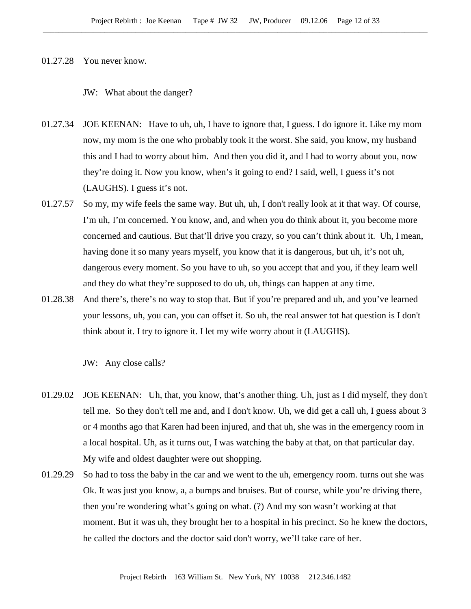## 01.27.28 You never know.

JW: What about the danger?

- 01.27.34 JOE KEENAN: Have to uh, uh, I have to ignore that, I guess. I do ignore it. Like my mom now, my mom is the one who probably took it the worst. She said, you know, my husband this and I had to worry about him. And then you did it, and I had to worry about you, now they're doing it. Now you know, when's it going to end? I said, well, I guess it's not (LAUGHS). I guess it's not.
- 01.27.57 So my, my wife feels the same way. But uh, uh, I don't really look at it that way. Of course, I'm uh, I'm concerned. You know, and, and when you do think about it, you become more concerned and cautious. But that'll drive you crazy, so you can't think about it. Uh, I mean, having done it so many years myself, you know that it is dangerous, but uh, it's not uh, dangerous every moment. So you have to uh, so you accept that and you, if they learn well and they do what they're supposed to do uh, uh, things can happen at any time.
- 01.28.38 And there's, there's no way to stop that. But if you're prepared and uh, and you've learned your lessons, uh, you can, you can offset it. So uh, the real answer tot hat question is I don't think about it. I try to ignore it. I let my wife worry about it (LAUGHS).

JW: Any close calls?

- 01.29.02 JOE KEENAN: Uh, that, you know, that's another thing. Uh, just as I did myself, they don't tell me. So they don't tell me and, and I don't know. Uh, we did get a call uh, I guess about 3 or 4 months ago that Karen had been injured, and that uh, she was in the emergency room in a local hospital. Uh, as it turns out, I was watching the baby at that, on that particular day. My wife and oldest daughter were out shopping.
- 01.29.29 So had to toss the baby in the car and we went to the uh, emergency room. turns out she was Ok. It was just you know, a, a bumps and bruises. But of course, while you're driving there, then you're wondering what's going on what. (?) And my son wasn't working at that moment. But it was uh, they brought her to a hospital in his precinct. So he knew the doctors, he called the doctors and the doctor said don't worry, we'll take care of her.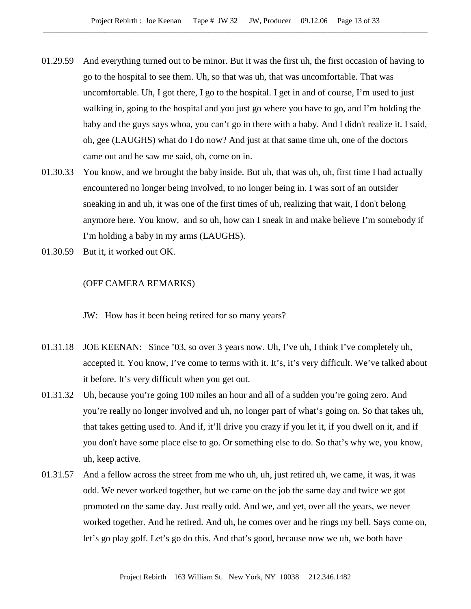- 01.29.59 And everything turned out to be minor. But it was the first uh, the first occasion of having to go to the hospital to see them. Uh, so that was uh, that was uncomfortable. That was uncomfortable. Uh, I got there, I go to the hospital. I get in and of course, I'm used to just walking in, going to the hospital and you just go where you have to go, and I'm holding the baby and the guys says whoa, you can't go in there with a baby. And I didn't realize it. I said, oh, gee (LAUGHS) what do I do now? And just at that same time uh, one of the doctors came out and he saw me said, oh, come on in.
- 01.30.33 You know, and we brought the baby inside. But uh, that was uh, uh, first time I had actually encountered no longer being involved, to no longer being in. I was sort of an outsider sneaking in and uh, it was one of the first times of uh, realizing that wait, I don't belong anymore here. You know, and so uh, how can I sneak in and make believe I'm somebody if I'm holding a baby in my arms (LAUGHS).
- 01.30.59 But it, it worked out OK.

## (OFF CAMERA REMARKS)

JW: How has it been being retired for so many years?

- 01.31.18 JOE KEENAN: Since '03, so over 3 years now. Uh, I've uh, I think I've completely uh, accepted it. You know, I've come to terms with it. It's, it's very difficult. We've talked about it before. It's very difficult when you get out.
- 01.31.32 Uh, because you're going 100 miles an hour and all of a sudden you're going zero. And you're really no longer involved and uh, no longer part of what's going on. So that takes uh, that takes getting used to. And if, it'll drive you crazy if you let it, if you dwell on it, and if you don't have some place else to go. Or something else to do. So that's why we, you know, uh, keep active.
- 01.31.57 And a fellow across the street from me who uh, uh, just retired uh, we came, it was, it was odd. We never worked together, but we came on the job the same day and twice we got promoted on the same day. Just really odd. And we, and yet, over all the years, we never worked together. And he retired. And uh, he comes over and he rings my bell. Says come on, let's go play golf. Let's go do this. And that's good, because now we uh, we both have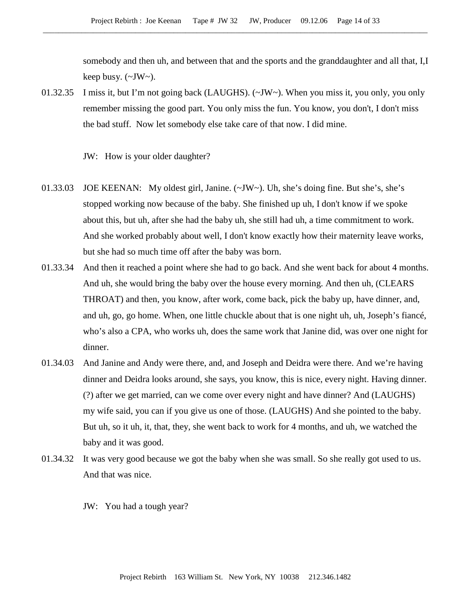somebody and then uh, and between that and the sports and the granddaughter and all that, I,I keep busy.  $(\sim JW \sim)$ .

01.32.35 I miss it, but I'm not going back (LAUGHS). (~JW~). When you miss it, you only, you only remember missing the good part. You only miss the fun. You know, you don't, I don't miss the bad stuff. Now let somebody else take care of that now. I did mine.

JW: How is your older daughter?

- 01.33.03 JOE KEENAN: My oldest girl, Janine. (~JW~). Uh, she's doing fine. But she's, she's stopped working now because of the baby. She finished up uh, I don't know if we spoke about this, but uh, after she had the baby uh, she still had uh, a time commitment to work. And she worked probably about well, I don't know exactly how their maternity leave works, but she had so much time off after the baby was born.
- 01.33.34 And then it reached a point where she had to go back. And she went back for about 4 months. And uh, she would bring the baby over the house every morning. And then uh, (CLEARS THROAT) and then, you know, after work, come back, pick the baby up, have dinner, and, and uh, go, go home. When, one little chuckle about that is one night uh, uh, Joseph's fiancé, who's also a CPA, who works uh, does the same work that Janine did, was over one night for dinner.
- 01.34.03 And Janine and Andy were there, and, and Joseph and Deidra were there. And we're having dinner and Deidra looks around, she says, you know, this is nice, every night. Having dinner. (?) after we get married, can we come over every night and have dinner? And (LAUGHS) my wife said, you can if you give us one of those. (LAUGHS) And she pointed to the baby. But uh, so it uh, it, that, they, she went back to work for 4 months, and uh, we watched the baby and it was good.
- 01.34.32 It was very good because we got the baby when she was small. So she really got used to us. And that was nice.
	- JW: You had a tough year?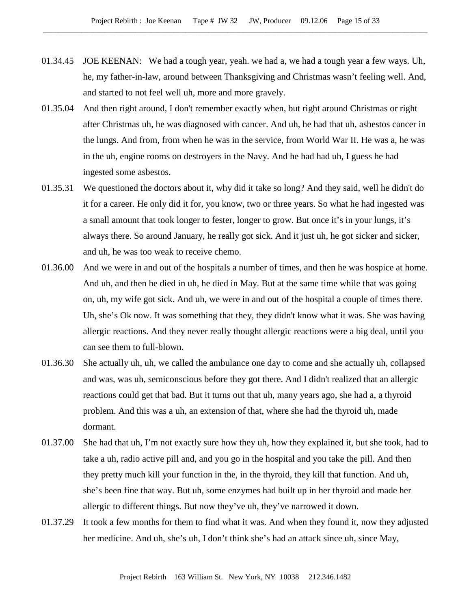- 01.34.45 JOE KEENAN: We had a tough year, yeah. we had a, we had a tough year a few ways. Uh, he, my father-in-law, around between Thanksgiving and Christmas wasn't feeling well. And, and started to not feel well uh, more and more gravely.
- 01.35.04 And then right around, I don't remember exactly when, but right around Christmas or right after Christmas uh, he was diagnosed with cancer. And uh, he had that uh, asbestos cancer in the lungs. And from, from when he was in the service, from World War II. He was a, he was in the uh, engine rooms on destroyers in the Navy. And he had had uh, I guess he had ingested some asbestos.
- 01.35.31 We questioned the doctors about it, why did it take so long? And they said, well he didn't do it for a career. He only did it for, you know, two or three years. So what he had ingested was a small amount that took longer to fester, longer to grow. But once it's in your lungs, it's always there. So around January, he really got sick. And it just uh, he got sicker and sicker, and uh, he was too weak to receive chemo.
- 01.36.00 And we were in and out of the hospitals a number of times, and then he was hospice at home. And uh, and then he died in uh, he died in May. But at the same time while that was going on, uh, my wife got sick. And uh, we were in and out of the hospital a couple of times there. Uh, she's Ok now. It was something that they, they didn't know what it was. She was having allergic reactions. And they never really thought allergic reactions were a big deal, until you can see them to full-blown.
- 01.36.30 She actually uh, uh, we called the ambulance one day to come and she actually uh, collapsed and was, was uh, semiconscious before they got there. And I didn't realized that an allergic reactions could get that bad. But it turns out that uh, many years ago, she had a, a thyroid problem. And this was a uh, an extension of that, where she had the thyroid uh, made dormant.
- 01.37.00 She had that uh, I'm not exactly sure how they uh, how they explained it, but she took, had to take a uh, radio active pill and, and you go in the hospital and you take the pill. And then they pretty much kill your function in the, in the thyroid, they kill that function. And uh, she's been fine that way. But uh, some enzymes had built up in her thyroid and made her allergic to different things. But now they've uh, they've narrowed it down.
- 01.37.29 It took a few months for them to find what it was. And when they found it, now they adjusted her medicine. And uh, she's uh, I don't think she's had an attack since uh, since May,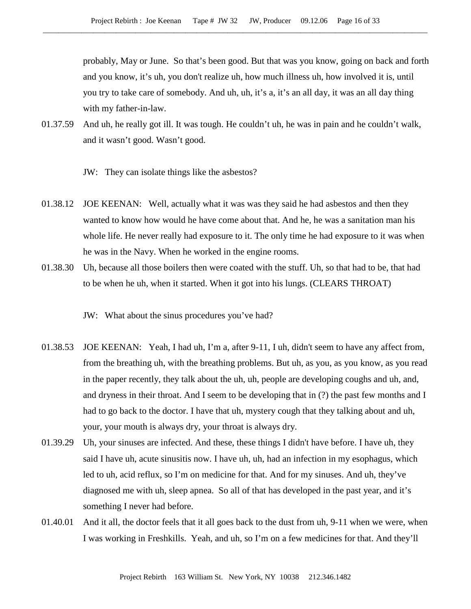probably, May or June. So that's been good. But that was you know, going on back and forth and you know, it's uh, you don't realize uh, how much illness uh, how involved it is, until you try to take care of somebody. And uh, uh, it's a, it's an all day, it was an all day thing with my father-in-law.

- 01.37.59 And uh, he really got ill. It was tough. He couldn't uh, he was in pain and he couldn't walk, and it wasn't good. Wasn't good.
	- JW: They can isolate things like the asbestos?
- 01.38.12 JOE KEENAN: Well, actually what it was was they said he had asbestos and then they wanted to know how would he have come about that. And he, he was a sanitation man his whole life. He never really had exposure to it. The only time he had exposure to it was when he was in the Navy. When he worked in the engine rooms.
- 01.38.30 Uh, because all those boilers then were coated with the stuff. Uh, so that had to be, that had to be when he uh, when it started. When it got into his lungs. (CLEARS THROAT)
	- JW: What about the sinus procedures you've had?
- 01.38.53 JOE KEENAN: Yeah, I had uh, I'm a, after 9-11, I uh, didn't seem to have any affect from, from the breathing uh, with the breathing problems. But uh, as you, as you know, as you read in the paper recently, they talk about the uh, uh, people are developing coughs and uh, and, and dryness in their throat. And I seem to be developing that in (?) the past few months and I had to go back to the doctor. I have that uh, mystery cough that they talking about and uh, your, your mouth is always dry, your throat is always dry.
- 01.39.29 Uh, your sinuses are infected. And these, these things I didn't have before. I have uh, they said I have uh, acute sinusitis now. I have uh, uh, had an infection in my esophagus, which led to uh, acid reflux, so I'm on medicine for that. And for my sinuses. And uh, they've diagnosed me with uh, sleep apnea. So all of that has developed in the past year, and it's something I never had before.
- 01.40.01 And it all, the doctor feels that it all goes back to the dust from uh, 9-11 when we were, when I was working in Freshkills. Yeah, and uh, so I'm on a few medicines for that. And they'll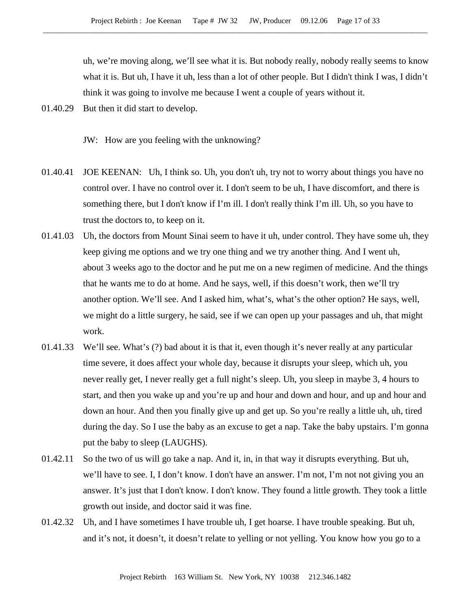uh, we're moving along, we'll see what it is. But nobody really, nobody really seems to know what it is. But uh, I have it uh, less than a lot of other people. But I didn't think I was, I didn't think it was going to involve me because I went a couple of years without it.

01.40.29 But then it did start to develop.

JW: How are you feeling with the unknowing?

- 01.40.41 JOE KEENAN: Uh, I think so. Uh, you don't uh, try not to worry about things you have no control over. I have no control over it. I don't seem to be uh, I have discomfort, and there is something there, but I don't know if I'm ill. I don't really think I'm ill. Uh, so you have to trust the doctors to, to keep on it.
- 01.41.03 Uh, the doctors from Mount Sinai seem to have it uh, under control. They have some uh, they keep giving me options and we try one thing and we try another thing. And I went uh, about 3 weeks ago to the doctor and he put me on a new regimen of medicine. And the things that he wants me to do at home. And he says, well, if this doesn't work, then we'll try another option. We'll see. And I asked him, what's, what's the other option? He says, well, we might do a little surgery, he said, see if we can open up your passages and uh, that might work.
- 01.41.33 We'll see. What's (?) bad about it is that it, even though it's never really at any particular time severe, it does affect your whole day, because it disrupts your sleep, which uh, you never really get, I never really get a full night's sleep. Uh, you sleep in maybe 3, 4 hours to start, and then you wake up and you're up and hour and down and hour, and up and hour and down an hour. And then you finally give up and get up. So you're really a little uh, uh, tired during the day. So I use the baby as an excuse to get a nap. Take the baby upstairs. I'm gonna put the baby to sleep (LAUGHS).
- 01.42.11 So the two of us will go take a nap. And it, in, in that way it disrupts everything. But uh, we'll have to see. I, I don't know. I don't have an answer. I'm not, I'm not not giving you an answer. It's just that I don't know. I don't know. They found a little growth. They took a little growth out inside, and doctor said it was fine.
- 01.42.32 Uh, and I have sometimes I have trouble uh, I get hoarse. I have trouble speaking. But uh, and it's not, it doesn't, it doesn't relate to yelling or not yelling. You know how you go to a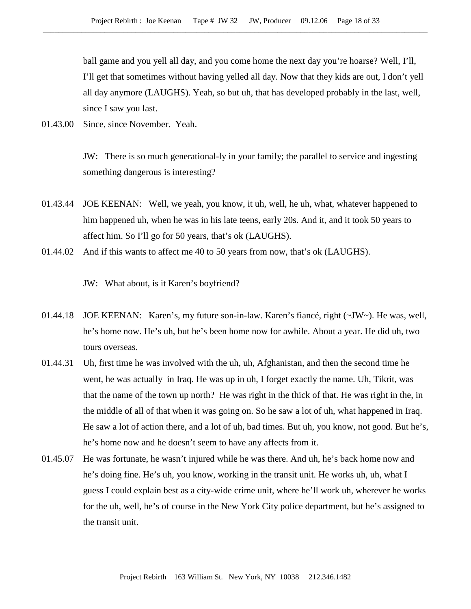ball game and you yell all day, and you come home the next day you're hoarse? Well, I'll, I'll get that sometimes without having yelled all day. Now that they kids are out, I don't yell all day anymore (LAUGHS). Yeah, so but uh, that has developed probably in the last, well, since I saw you last.

01.43.00 Since, since November. Yeah.

JW: There is so much generational-ly in your family; the parallel to service and ingesting something dangerous is interesting?

- 01.43.44 JOE KEENAN: Well, we yeah, you know, it uh, well, he uh, what, whatever happened to him happened uh, when he was in his late teens, early 20s. And it, and it took 50 years to affect him. So I'll go for 50 years, that's ok (LAUGHS).
- 01.44.02 And if this wants to affect me 40 to 50 years from now, that's ok (LAUGHS).

JW: What about, is it Karen's boyfriend?

- 01.44.18 JOE KEENAN: Karen's, my future son-in-law. Karen's fiancé, right (~JW~). He was, well, he's home now. He's uh, but he's been home now for awhile. About a year. He did uh, two tours overseas.
- 01.44.31 Uh, first time he was involved with the uh, uh, Afghanistan, and then the second time he went, he was actually in Iraq. He was up in uh, I forget exactly the name. Uh, Tikrit, was that the name of the town up north? He was right in the thick of that. He was right in the, in the middle of all of that when it was going on. So he saw a lot of uh, what happened in Iraq. He saw a lot of action there, and a lot of uh, bad times. But uh, you know, not good. But he's, he's home now and he doesn't seem to have any affects from it.
- 01.45.07 He was fortunate, he wasn't injured while he was there. And uh, he's back home now and he's doing fine. He's uh, you know, working in the transit unit. He works uh, uh, what I guess I could explain best as a city-wide crime unit, where he'll work uh, wherever he works for the uh, well, he's of course in the New York City police department, but he's assigned to the transit unit.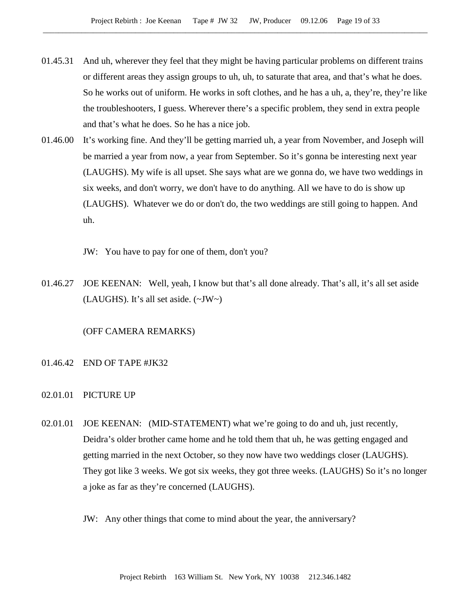- 01.45.31 And uh, wherever they feel that they might be having particular problems on different trains or different areas they assign groups to uh, uh, to saturate that area, and that's what he does. So he works out of uniform. He works in soft clothes, and he has a uh, a, they're, they're like the troubleshooters, I guess. Wherever there's a specific problem, they send in extra people and that's what he does. So he has a nice job.
- 01.46.00 It's working fine. And they'll be getting married uh, a year from November, and Joseph will be married a year from now, a year from September. So it's gonna be interesting next year (LAUGHS). My wife is all upset. She says what are we gonna do, we have two weddings in six weeks, and don't worry, we don't have to do anything. All we have to do is show up (LAUGHS). Whatever we do or don't do, the two weddings are still going to happen. And uh.
	- JW: You have to pay for one of them, don't you?
- 01.46.27 JOE KEENAN: Well, yeah, I know but that's all done already. That's all, it's all set aside (LAUGHS). It's all set aside.  $(\sim JW \sim)$

# (OFF CAMERA REMARKS)

- 01.46.42 END OF TAPE #JK32
- 02.01.01 PICTURE UP
- 02.01.01 JOE KEENAN: (MID-STATEMENT) what we're going to do and uh, just recently, Deidra's older brother came home and he told them that uh, he was getting engaged and getting married in the next October, so they now have two weddings closer (LAUGHS). They got like 3 weeks. We got six weeks, they got three weeks. (LAUGHS) So it's no longer a joke as far as they're concerned (LAUGHS).
	- JW: Any other things that come to mind about the year, the anniversary?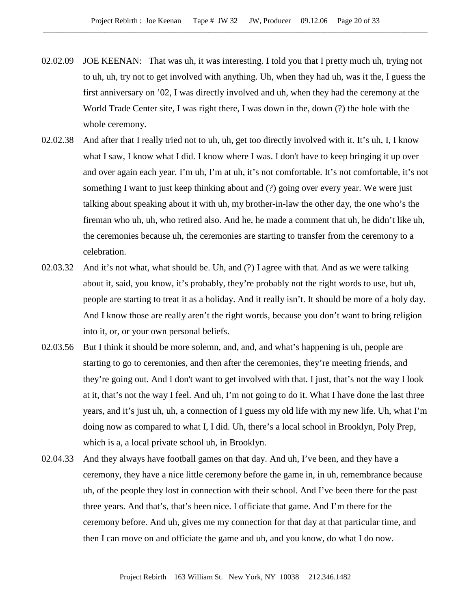- 02.02.09 JOE KEENAN: That was uh, it was interesting. I told you that I pretty much uh, trying not to uh, uh, try not to get involved with anything. Uh, when they had uh, was it the, I guess the first anniversary on '02, I was directly involved and uh, when they had the ceremony at the World Trade Center site, I was right there, I was down in the, down (?) the hole with the whole ceremony.
- 02.02.38 And after that I really tried not to uh, uh, get too directly involved with it. It's uh, I, I know what I saw, I know what I did. I know where I was. I don't have to keep bringing it up over and over again each year. I'm uh, I'm at uh, it's not comfortable. It's not comfortable, it's not something I want to just keep thinking about and (?) going over every year. We were just talking about speaking about it with uh, my brother-in-law the other day, the one who's the fireman who uh, uh, who retired also. And he, he made a comment that uh, he didn't like uh, the ceremonies because uh, the ceremonies are starting to transfer from the ceremony to a celebration.
- 02.03.32 And it's not what, what should be. Uh, and (?) I agree with that. And as we were talking about it, said, you know, it's probably, they're probably not the right words to use, but uh, people are starting to treat it as a holiday. And it really isn't. It should be more of a holy day. And I know those are really aren't the right words, because you don't want to bring religion into it, or, or your own personal beliefs.
- 02.03.56 But I think it should be more solemn, and, and, and what's happening is uh, people are starting to go to ceremonies, and then after the ceremonies, they're meeting friends, and they're going out. And I don't want to get involved with that. I just, that's not the way I look at it, that's not the way I feel. And uh, I'm not going to do it. What I have done the last three years, and it's just uh, uh, a connection of I guess my old life with my new life. Uh, what I'm doing now as compared to what I, I did. Uh, there's a local school in Brooklyn, Poly Prep, which is a, a local private school uh, in Brooklyn.
- 02.04.33 And they always have football games on that day. And uh, I've been, and they have a ceremony, they have a nice little ceremony before the game in, in uh, remembrance because uh, of the people they lost in connection with their school. And I've been there for the past three years. And that's, that's been nice. I officiate that game. And I'm there for the ceremony before. And uh, gives me my connection for that day at that particular time, and then I can move on and officiate the game and uh, and you know, do what I do now.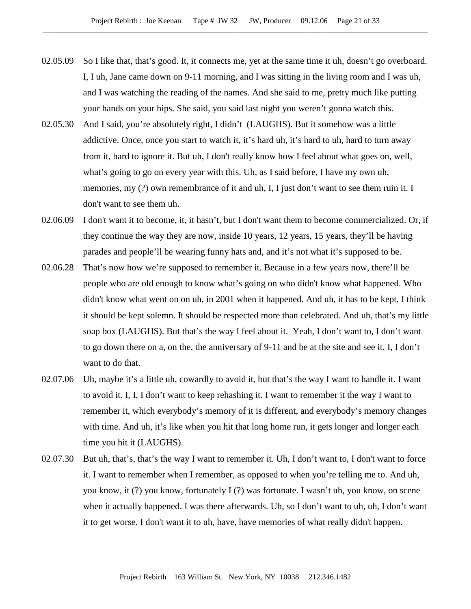- 02.05.09 So I like that, that's good. It, it connects me, yet at the same time it uh, doesn't go overboard. I, I uh, Jane came down on 9-11 morning, and I was sitting in the living room and I was uh, and I was watching the reading of the names. And she said to me, pretty much like putting your hands on your hips. She said, you said last night you weren't gonna watch this.
- 02.05.30 And I said, you're absolutely right, I didn't (LAUGHS). But it somehow was a little addictive. Once, once you start to watch it, it's hard uh, it's hard to uh, hard to turn away from it, hard to ignore it. But uh, I don't really know how I feel about what goes on, well, what's going to go on every year with this. Uh, as I said before, I have my own uh, memories, my (?) own remembrance of it and uh, I, I just don't want to see them ruin it. I don't want to see them uh.
- 02.06.09 I don't want it to become, it, it hasn't, but I don't want them to become commercialized. Or, if they continue the way they are now, inside 10 years, 12 years, 15 years, they'll be having parades and people'll be wearing funny hats and, and it's not what it's supposed to be.
- 02.06.28 That's now how we're supposed to remember it. Because in a few years now, there'll be people who are old enough to know what's going on who didn't know what happened. Who didn't know what went on on uh, in 2001 when it happened. And uh, it has to be kept, I think it should be kept solemn. It should be respected more than celebrated. And uh, that's my little soap box (LAUGHS). But that's the way I feel about it. Yeah, I don't want to, I don't want to go down there on a, on the, the anniversary of 9-11 and be at the site and see it, I, I don't want to do that.
- 02.07.06 Uh, maybe it's a little uh, cowardly to avoid it, but that's the way I want to handle it. I want to avoid it. I, I, I don't want to keep rehashing it. I want to remember it the way I want to remember it, which everybody's memory of it is different, and everybody's memory changes with time. And uh, it's like when you hit that long home run, it gets longer and longer each time you hit it (LAUGHS).
- 02.07.30 But uh, that's, that's the way I want to remember it. Uh, I don't want to, I don't want to force it. I want to remember when I remember, as opposed to when you're telling me to. And uh, you know, it (?) you know, fortunately I (?) was fortunate. I wasn't uh, you know, on scene when it actually happened. I was there afterwards. Uh, so I don't want to uh, uh, I don't want it to get worse. I don't want it to uh, have, have memories of what really didn't happen.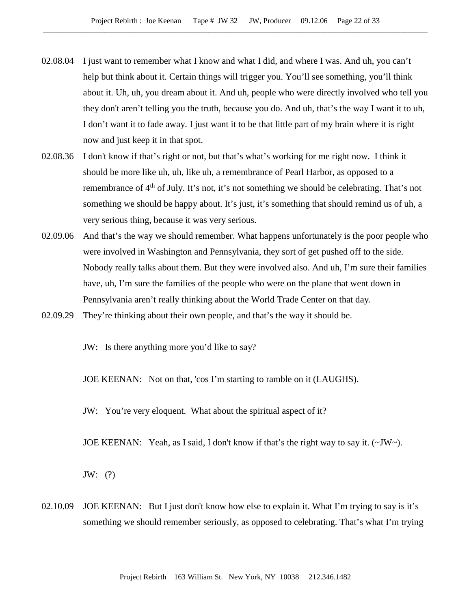- 02.08.04 I just want to remember what I know and what I did, and where I was. And uh, you can't help but think about it. Certain things will trigger you. You'll see something, you'll think about it. Uh, uh, you dream about it. And uh, people who were directly involved who tell you they don't aren't telling you the truth, because you do. And uh, that's the way I want it to uh, I don't want it to fade away. I just want it to be that little part of my brain where it is right now and just keep it in that spot.
- 02.08.36 I don't know if that's right or not, but that's what's working for me right now. I think it should be more like uh, uh, like uh, a remembrance of Pearl Harbor, as opposed to a remembrance of 4<sup>th</sup> of July. It's not, it's not something we should be celebrating. That's not something we should be happy about. It's just, it's something that should remind us of uh, a very serious thing, because it was very serious.
- 02.09.06 And that's the way we should remember. What happens unfortunately is the poor people who were involved in Washington and Pennsylvania, they sort of get pushed off to the side. Nobody really talks about them. But they were involved also. And uh, I'm sure their families have, uh, I'm sure the families of the people who were on the plane that went down in Pennsylvania aren't really thinking about the World Trade Center on that day.
- 02.09.29 They're thinking about their own people, and that's the way it should be.

JW: Is there anything more you'd like to say?

JOE KEENAN: Not on that, 'cos I'm starting to ramble on it (LAUGHS).

JW: You're very eloquent. What about the spiritual aspect of it?

JOE KEENAN: Yeah, as I said, I don't know if that's the right way to say it.  $(\sim JW \sim)$ .

JW: (?)

02.10.09 JOE KEENAN: But I just don't know how else to explain it. What I'm trying to say is it's something we should remember seriously, as opposed to celebrating. That's what I'm trying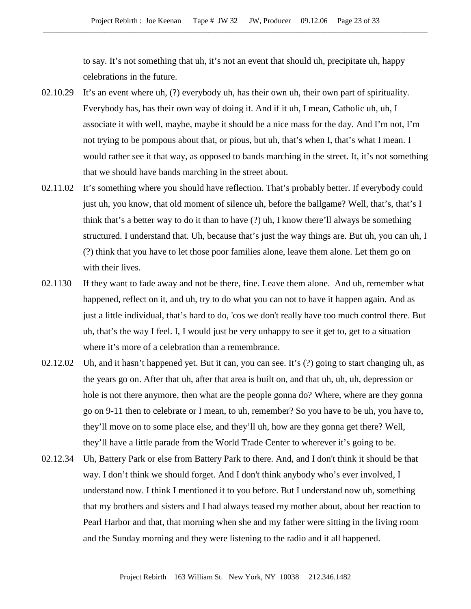to say. It's not something that uh, it's not an event that should uh, precipitate uh, happy celebrations in the future.

- 02.10.29 It's an event where uh, (?) everybody uh, has their own uh, their own part of spirituality. Everybody has, has their own way of doing it. And if it uh, I mean, Catholic uh, uh, I associate it with well, maybe, maybe it should be a nice mass for the day. And I'm not, I'm not trying to be pompous about that, or pious, but uh, that's when I, that's what I mean. I would rather see it that way, as opposed to bands marching in the street. It, it's not something that we should have bands marching in the street about.
- 02.11.02 It's something where you should have reflection. That's probably better. If everybody could just uh, you know, that old moment of silence uh, before the ballgame? Well, that's, that's I think that's a better way to do it than to have (?) uh, I know there'll always be something structured. I understand that. Uh, because that's just the way things are. But uh, you can uh, I (?) think that you have to let those poor families alone, leave them alone. Let them go on with their lives.
- 02.1130 If they want to fade away and not be there, fine. Leave them alone. And uh, remember what happened, reflect on it, and uh, try to do what you can not to have it happen again. And as just a little individual, that's hard to do, 'cos we don't really have too much control there. But uh, that's the way I feel. I, I would just be very unhappy to see it get to, get to a situation where it's more of a celebration than a remembrance.
- 02.12.02 Uh, and it hasn't happened yet. But it can, you can see. It's (?) going to start changing uh, as the years go on. After that uh, after that area is built on, and that uh, uh, uh, depression or hole is not there anymore, then what are the people gonna do? Where, where are they gonna go on 9-11 then to celebrate or I mean, to uh, remember? So you have to be uh, you have to, they'll move on to some place else, and they'll uh, how are they gonna get there? Well, they'll have a little parade from the World Trade Center to wherever it's going to be.
- 02.12.34 Uh, Battery Park or else from Battery Park to there. And, and I don't think it should be that way. I don't think we should forget. And I don't think anybody who's ever involved, I understand now. I think I mentioned it to you before. But I understand now uh, something that my brothers and sisters and I had always teased my mother about, about her reaction to Pearl Harbor and that, that morning when she and my father were sitting in the living room and the Sunday morning and they were listening to the radio and it all happened.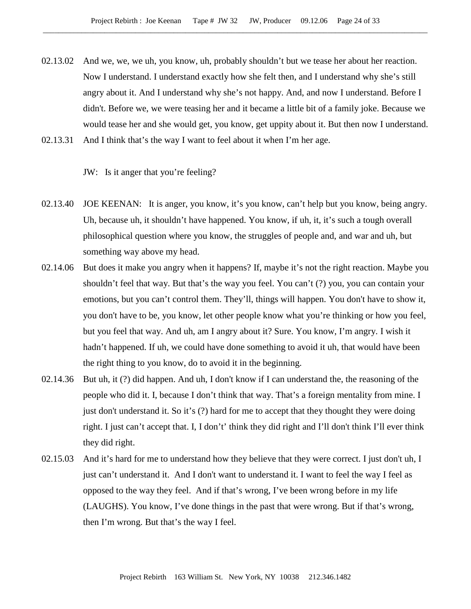- 02.13.02 And we, we, we uh, you know, uh, probably shouldn't but we tease her about her reaction. Now I understand. I understand exactly how she felt then, and I understand why she's still angry about it. And I understand why she's not happy. And, and now I understand. Before I didn't. Before we, we were teasing her and it became a little bit of a family joke. Because we would tease her and she would get, you know, get uppity about it. But then now I understand.
- 02.13.31 And I think that's the way I want to feel about it when I'm her age.

JW: Is it anger that you're feeling?

- 02.13.40 JOE KEENAN: It is anger, you know, it's you know, can't help but you know, being angry. Uh, because uh, it shouldn't have happened. You know, if uh, it, it's such a tough overall philosophical question where you know, the struggles of people and, and war and uh, but something way above my head.
- 02.14.06 But does it make you angry when it happens? If, maybe it's not the right reaction. Maybe you shouldn't feel that way. But that's the way you feel. You can't (?) you, you can contain your emotions, but you can't control them. They'll, things will happen. You don't have to show it, you don't have to be, you know, let other people know what you're thinking or how you feel, but you feel that way. And uh, am I angry about it? Sure. You know, I'm angry. I wish it hadn't happened. If uh, we could have done something to avoid it uh, that would have been the right thing to you know, do to avoid it in the beginning.
- 02.14.36 But uh, it (?) did happen. And uh, I don't know if I can understand the, the reasoning of the people who did it. I, because I don't think that way. That's a foreign mentality from mine. I just don't understand it. So it's (?) hard for me to accept that they thought they were doing right. I just can't accept that. I, I don't' think they did right and I'll don't think I'll ever think they did right.
- 02.15.03 And it's hard for me to understand how they believe that they were correct. I just don't uh, I just can't understand it. And I don't want to understand it. I want to feel the way I feel as opposed to the way they feel. And if that's wrong, I've been wrong before in my life (LAUGHS). You know, I've done things in the past that were wrong. But if that's wrong, then I'm wrong. But that's the way I feel.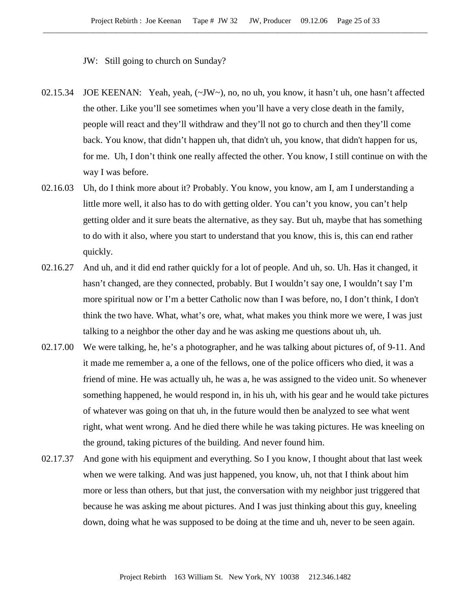JW: Still going to church on Sunday?

- 02.15.34 JOE KEENAN: Yeah, yeah, (~JW~), no, no uh, you know, it hasn't uh, one hasn't affected the other. Like you'll see sometimes when you'll have a very close death in the family, people will react and they'll withdraw and they'll not go to church and then they'll come back. You know, that didn't happen uh, that didn't uh, you know, that didn't happen for us, for me. Uh, I don't think one really affected the other. You know, I still continue on with the way I was before.
- 02.16.03 Uh, do I think more about it? Probably. You know, you know, am I, am I understanding a little more well, it also has to do with getting older. You can't you know, you can't help getting older and it sure beats the alternative, as they say. But uh, maybe that has something to do with it also, where you start to understand that you know, this is, this can end rather quickly.
- 02.16.27 And uh, and it did end rather quickly for a lot of people. And uh, so. Uh. Has it changed, it hasn't changed, are they connected, probably. But I wouldn't say one, I wouldn't say I'm more spiritual now or I'm a better Catholic now than I was before, no, I don't think, I don't think the two have. What, what's ore, what, what makes you think more we were, I was just talking to a neighbor the other day and he was asking me questions about uh, uh.
- 02.17.00 We were talking, he, he's a photographer, and he was talking about pictures of, of 9-11. And it made me remember a, a one of the fellows, one of the police officers who died, it was a friend of mine. He was actually uh, he was a, he was assigned to the video unit. So whenever something happened, he would respond in, in his uh, with his gear and he would take pictures of whatever was going on that uh, in the future would then be analyzed to see what went right, what went wrong. And he died there while he was taking pictures. He was kneeling on the ground, taking pictures of the building. And never found him.
- 02.17.37 And gone with his equipment and everything. So I you know, I thought about that last week when we were talking. And was just happened, you know, uh, not that I think about him more or less than others, but that just, the conversation with my neighbor just triggered that because he was asking me about pictures. And I was just thinking about this guy, kneeling down, doing what he was supposed to be doing at the time and uh, never to be seen again.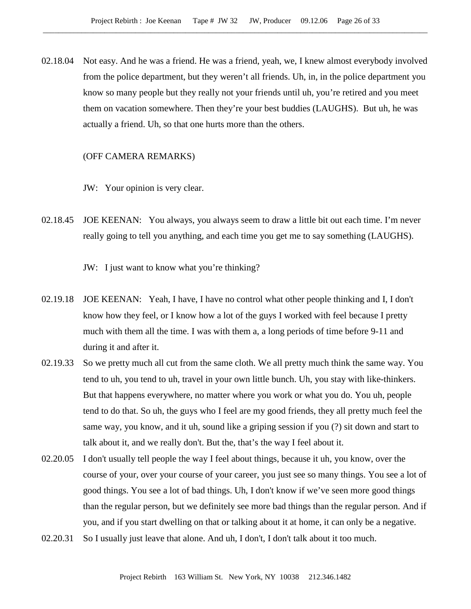02.18.04 Not easy. And he was a friend. He was a friend, yeah, we, I knew almost everybody involved from the police department, but they weren't all friends. Uh, in, in the police department you know so many people but they really not your friends until uh, you're retired and you meet them on vacation somewhere. Then they're your best buddies (LAUGHS). But uh, he was actually a friend. Uh, so that one hurts more than the others.

## (OFF CAMERA REMARKS)

- JW: Your opinion is very clear.
- 02.18.45 JOE KEENAN: You always, you always seem to draw a little bit out each time. I'm never really going to tell you anything, and each time you get me to say something (LAUGHS).

JW: I just want to know what you're thinking?

- 02.19.18 JOE KEENAN: Yeah, I have, I have no control what other people thinking and I, I don't know how they feel, or I know how a lot of the guys I worked with feel because I pretty much with them all the time. I was with them a, a long periods of time before 9-11 and during it and after it.
- 02.19.33 So we pretty much all cut from the same cloth. We all pretty much think the same way. You tend to uh, you tend to uh, travel in your own little bunch. Uh, you stay with like-thinkers. But that happens everywhere, no matter where you work or what you do. You uh, people tend to do that. So uh, the guys who I feel are my good friends, they all pretty much feel the same way, you know, and it uh, sound like a griping session if you (?) sit down and start to talk about it, and we really don't. But the, that's the way I feel about it.
- 02.20.05 I don't usually tell people the way I feel about things, because it uh, you know, over the course of your, over your course of your career, you just see so many things. You see a lot of good things. You see a lot of bad things. Uh, I don't know if we've seen more good things than the regular person, but we definitely see more bad things than the regular person. And if you, and if you start dwelling on that or talking about it at home, it can only be a negative.
- 02.20.31 So I usually just leave that alone. And uh, I don't, I don't talk about it too much.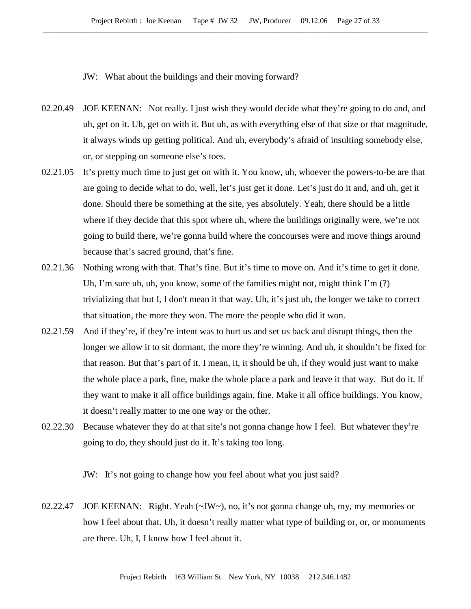JW: What about the buildings and their moving forward?

- 02.20.49 JOE KEENAN: Not really. I just wish they would decide what they're going to do and, and uh, get on it. Uh, get on with it. But uh, as with everything else of that size or that magnitude, it always winds up getting political. And uh, everybody's afraid of insulting somebody else, or, or stepping on someone else's toes.
- 02.21.05 It's pretty much time to just get on with it. You know, uh, whoever the powers-to-be are that are going to decide what to do, well, let's just get it done. Let's just do it and, and uh, get it done. Should there be something at the site, yes absolutely. Yeah, there should be a little where if they decide that this spot where uh, where the buildings originally were, we're not going to build there, we're gonna build where the concourses were and move things around because that's sacred ground, that's fine.
- 02.21.36 Nothing wrong with that. That's fine. But it's time to move on. And it's time to get it done. Uh, I'm sure uh, uh, you know, some of the families might not, might think I'm  $(?)$ trivializing that but I, I don't mean it that way. Uh, it's just uh, the longer we take to correct that situation, the more they won. The more the people who did it won.
- 02.21.59 And if they're, if they're intent was to hurt us and set us back and disrupt things, then the longer we allow it to sit dormant, the more they're winning. And uh, it shouldn't be fixed for that reason. But that's part of it. I mean, it, it should be uh, if they would just want to make the whole place a park, fine, make the whole place a park and leave it that way. But do it. If they want to make it all office buildings again, fine. Make it all office buildings. You know, it doesn't really matter to me one way or the other.
- 02.22.30 Because whatever they do at that site's not gonna change how I feel. But whatever they're going to do, they should just do it. It's taking too long.

JW: It's not going to change how you feel about what you just said?

02.22.47 JOE KEENAN: Right. Yeah  $(\sim JW \sim)$ , no, it's not gonna change uh, my, my memories or how I feel about that. Uh, it doesn't really matter what type of building or, or, or monuments are there. Uh, I, I know how I feel about it.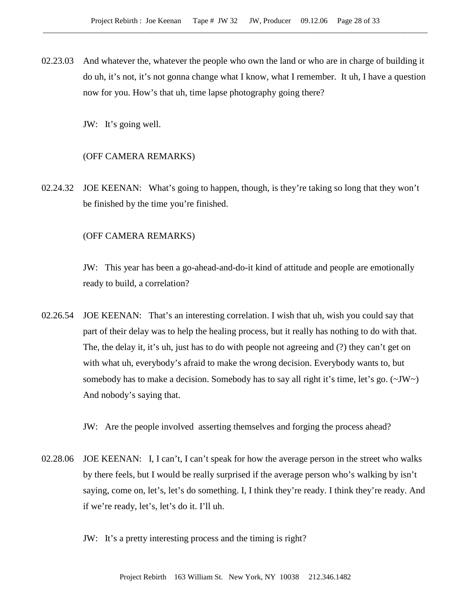02.23.03 And whatever the, whatever the people who own the land or who are in charge of building it do uh, it's not, it's not gonna change what I know, what I remember. It uh, I have a question now for you. How's that uh, time lapse photography going there?

JW: It's going well.

#### (OFF CAMERA REMARKS)

02.24.32 JOE KEENAN: What's going to happen, though, is they're taking so long that they won't be finished by the time you're finished.

#### (OFF CAMERA REMARKS)

JW: This year has been a go-ahead-and-do-it kind of attitude and people are emotionally ready to build, a correlation?

02.26.54 JOE KEENAN: That's an interesting correlation. I wish that uh, wish you could say that part of their delay was to help the healing process, but it really has nothing to do with that. The, the delay it, it's uh, just has to do with people not agreeing and (?) they can't get on with what uh, everybody's afraid to make the wrong decision. Everybody wants to, but somebody has to make a decision. Somebody has to say all right it's time, let's go.  $(\sim JW)$ And nobody's saying that.

JW: Are the people involved asserting themselves and forging the process ahead?

02.28.06 JOE KEENAN: I, I can't, I can't speak for how the average person in the street who walks by there feels, but I would be really surprised if the average person who's walking by isn't saying, come on, let's, let's do something. I, I think they're ready. I think they're ready. And if we're ready, let's, let's do it. I'll uh.

JW: It's a pretty interesting process and the timing is right?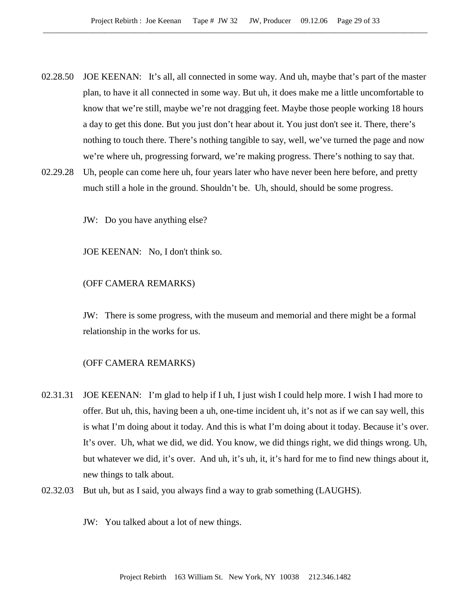- 02.28.50 JOE KEENAN: It's all, all connected in some way. And uh, maybe that's part of the master plan, to have it all connected in some way. But uh, it does make me a little uncomfortable to know that we're still, maybe we're not dragging feet. Maybe those people working 18 hours a day to get this done. But you just don't hear about it. You just don't see it. There, there's nothing to touch there. There's nothing tangible to say, well, we've turned the page and now we're where uh, progressing forward, we're making progress. There's nothing to say that.
- 02.29.28 Uh, people can come here uh, four years later who have never been here before, and pretty much still a hole in the ground. Shouldn't be. Uh, should, should be some progress.

JW: Do you have anything else?

JOE KEENAN: No, I don't think so.

## (OFF CAMERA REMARKS)

JW: There is some progress, with the museum and memorial and there might be a formal relationship in the works for us.

### (OFF CAMERA REMARKS)

- 02.31.31 JOE KEENAN: I'm glad to help if I uh, I just wish I could help more. I wish I had more to offer. But uh, this, having been a uh, one-time incident uh, it's not as if we can say well, this is what I'm doing about it today. And this is what I'm doing about it today. Because it's over. It's over. Uh, what we did, we did. You know, we did things right, we did things wrong. Uh, but whatever we did, it's over. And uh, it's uh, it, it's hard for me to find new things about it, new things to talk about.
- 02.32.03 But uh, but as I said, you always find a way to grab something (LAUGHS).
	- JW: You talked about a lot of new things.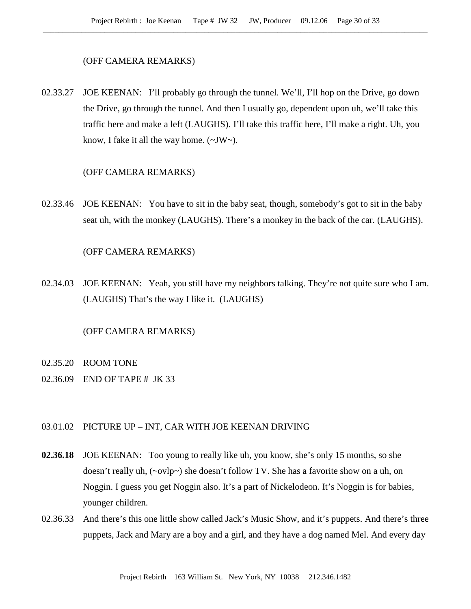#### (OFF CAMERA REMARKS)

02.33.27 JOE KEENAN: I'll probably go through the tunnel. We'll, I'll hop on the Drive, go down the Drive, go through the tunnel. And then I usually go, dependent upon uh, we'll take this traffic here and make a left (LAUGHS). I'll take this traffic here, I'll make a right. Uh, you know, I fake it all the way home.  $(\sim JW)$ .

#### (OFF CAMERA REMARKS)

02.33.46 JOE KEENAN: You have to sit in the baby seat, though, somebody's got to sit in the baby seat uh, with the monkey (LAUGHS). There's a monkey in the back of the car. (LAUGHS).

## (OFF CAMERA REMARKS)

02.34.03 JOE KEENAN: Yeah, you still have my neighbors talking. They're not quite sure who I am. (LAUGHS) That's the way I like it. (LAUGHS)

#### (OFF CAMERA REMARKS)

- 02.35.20 ROOM TONE
- 02.36.09 END OF TAPE # JK 33

# 03.01.02 PICTURE UP – INT, CAR WITH JOE KEENAN DRIVING

- **02.36.18** JOE KEENAN: Too young to really like uh, you know, she's only 15 months, so she doesn't really uh, (~ovlp~) she doesn't follow TV. She has a favorite show on a uh, on Noggin. I guess you get Noggin also. It's a part of Nickelodeon. It's Noggin is for babies, younger children.
- 02.36.33 And there's this one little show called Jack's Music Show, and it's puppets. And there's three puppets, Jack and Mary are a boy and a girl, and they have a dog named Mel. And every day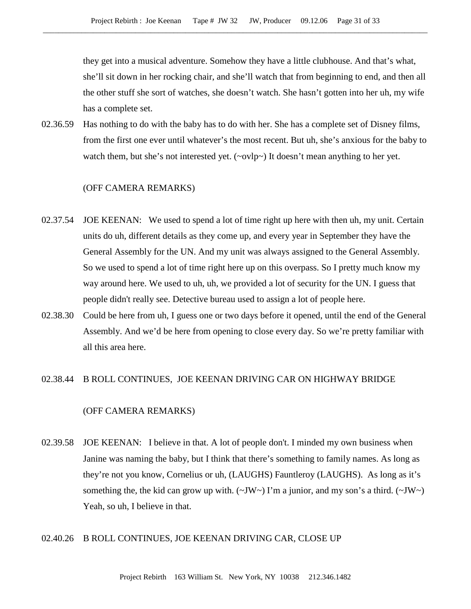they get into a musical adventure. Somehow they have a little clubhouse. And that's what, she'll sit down in her rocking chair, and she'll watch that from beginning to end, and then all the other stuff she sort of watches, she doesn't watch. She hasn't gotten into her uh, my wife has a complete set.

02.36.59 Has nothing to do with the baby has to do with her. She has a complete set of Disney films, from the first one ever until whatever's the most recent. But uh, she's anxious for the baby to watch them, but she's not interested yet. (~ovlp~) It doesn't mean anything to her yet.

#### (OFF CAMERA REMARKS)

- 02.37.54 JOE KEENAN: We used to spend a lot of time right up here with then uh, my unit. Certain units do uh, different details as they come up, and every year in September they have the General Assembly for the UN. And my unit was always assigned to the General Assembly. So we used to spend a lot of time right here up on this overpass. So I pretty much know my way around here. We used to uh, uh, we provided a lot of security for the UN. I guess that people didn't really see. Detective bureau used to assign a lot of people here.
- 02.38.30 Could be here from uh, I guess one or two days before it opened, until the end of the General Assembly. And we'd be here from opening to close every day. So we're pretty familiar with all this area here.

#### 02.38.44 B ROLL CONTINUES, JOE KEENAN DRIVING CAR ON HIGHWAY BRIDGE

# (OFF CAMERA REMARKS)

02.39.58 JOE KEENAN: I believe in that. A lot of people don't. I minded my own business when Janine was naming the baby, but I think that there's something to family names. As long as they're not you know, Cornelius or uh, (LAUGHS) Fauntleroy (LAUGHS). As long as it's something the, the kid can grow up with.  $(\sim JW \sim)$  I'm a junior, and my son's a third.  $(\sim JW \sim)$ Yeah, so uh, I believe in that.

## 02.40.26 B ROLL CONTINUES, JOE KEENAN DRIVING CAR, CLOSE UP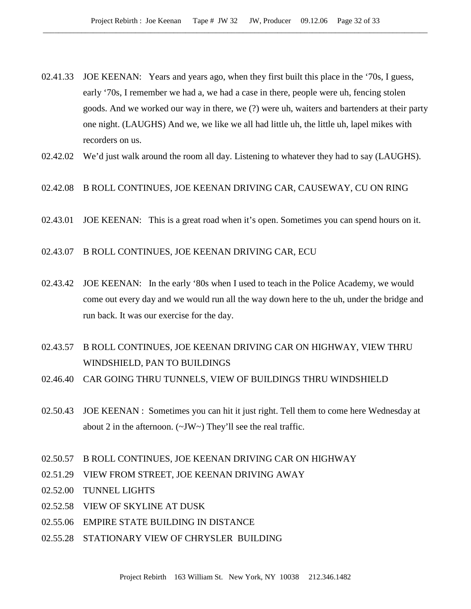- 02.41.33 JOE KEENAN: Years and years ago, when they first built this place in the '70s, I guess, early '70s, I remember we had a, we had a case in there, people were uh, fencing stolen goods. And we worked our way in there, we (?) were uh, waiters and bartenders at their party one night. (LAUGHS) And we, we like we all had little uh, the little uh, lapel mikes with recorders on us.
- 02.42.02 We'd just walk around the room all day. Listening to whatever they had to say (LAUGHS).

# 02.42.08 B ROLL CONTINUES, JOE KEENAN DRIVING CAR, CAUSEWAY, CU ON RING

- 02.43.01 JOE KEENAN: This is a great road when it's open. Sometimes you can spend hours on it.
- 02.43.07 B ROLL CONTINUES, JOE KEENAN DRIVING CAR, ECU
- 02.43.42 JOE KEENAN: In the early '80s when I used to teach in the Police Academy, we would come out every day and we would run all the way down here to the uh, under the bridge and run back. It was our exercise for the day.

# 02.43.57 B ROLL CONTINUES, JOE KEENAN DRIVING CAR ON HIGHWAY, VIEW THRU WINDSHIELD, PAN TO BUILDINGS

- 02.46.40 CAR GOING THRU TUNNELS, VIEW OF BUILDINGS THRU WINDSHIELD
- 02.50.43 JOE KEENAN : Sometimes you can hit it just right. Tell them to come here Wednesday at about 2 in the afternoon. (~JW~) They'll see the real traffic.
- 02.50.57 B ROLL CONTINUES, JOE KEENAN DRIVING CAR ON HIGHWAY
- 02.51.29 VIEW FROM STREET, JOE KEENAN DRIVING AWAY
- 02.52.00 TUNNEL LIGHTS
- 02.52.58 VIEW OF SKYLINE AT DUSK
- 02.55.06 EMPIRE STATE BUILDING IN DISTANCE
- 02.55.28 STATIONARY VIEW OF CHRYSLER BUILDING